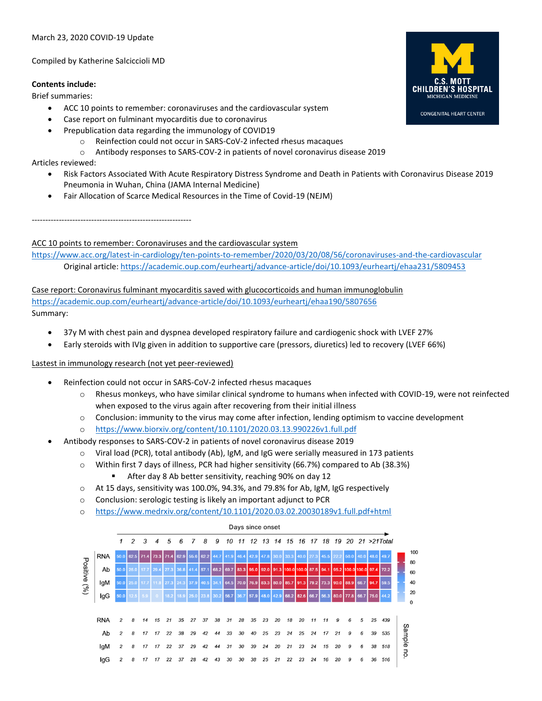March 23, 2020 COVID-19 Update

Compiled by Katherine Salciccioli MD

## **Contents include:**

Brief summaries:

- ACC 10 points to remember: coronaviruses and the cardiovascular system
- Case report on fulminant myocarditis due to coronavirus
- Prepublication data regarding the immunology of COVID19
	- o Reinfection could not occur in SARS-CoV-2 infected rhesus macaques
		- o Antibody responses to SARS-COV-2 in patients of novel coronavirus disease 2019

Articles reviewed:

- Risk Factors Associated With Acute Respiratory Distress Syndrome and Death in Patients with Coronavirus Disease 2019 Pneumonia in Wuhan, China (JAMA Internal Medicine)
- Fair Allocation of Scarce Medical Resources in the Time of Covid-19 (NEJM)

-----------------------------------------------------------

# ACC 10 points to remember: Coronaviruses and the cardiovascular system

<https://www.acc.org/latest-in-cardiology/ten-points-to-remember/2020/03/20/08/56/coronaviruses-and-the-cardiovascular> Original article[: https://academic.oup.com/eurheartj/advance-article/doi/10.1093/eurheartj/ehaa231/5809453](https://academic.oup.com/eurheartj/advance-article/doi/10.1093/eurheartj/ehaa231/5809453)

Case report: Coronavirus fulminant myocarditis saved with glucocorticoids and human immunoglobulin <https://academic.oup.com/eurheartj/advance-article/doi/10.1093/eurheartj/ehaa190/5807656> Summary:

- 37y M with chest pain and dyspnea developed respiratory failure and cardiogenic shock with LVEF 27%
- Early steroids with IVIg given in addition to supportive care (pressors, diuretics) led to recovery (LVEF 66%)

Lastest in immunology research (not yet peer-reviewed)

- Reinfection could not occur in SARS-CoV-2 infected rhesus macaques
	- o Rhesus monkeys, who have similar clinical syndrome to humans when infected with COVID-19, were not reinfected when exposed to the virus again after recovering from their initial illness
	- o Conclusion: immunity to the virus may come after infection, lending optimism to vaccine development
	- <https://www.biorxiv.org/content/10.1101/2020.03.13.990226v1.full.pdf>
- Antibody responses to SARS-COV-2 in patients of novel coronavirus disease 2019
	- o Viral load (PCR), total antibody (Ab), IgM, and IgG were serially measured in 173 patients
	- o Within first 7 days of illness, PCR had higher sensitivity (66.7%) compared to Ab (38.3%)

After day 8 Ab better sensitivity, reaching 90% on day 12

- $\circ$  At 15 days, sensitivity was 100.0%, 94.3%, and 79.8% for Ab, IgM, IgG respectively
- o Conclusion: serologic testing is likely an important adjunct to PCR
- o <https://www.medrxiv.org/content/10.1101/2020.03.02.20030189v1.full.pdf+html>



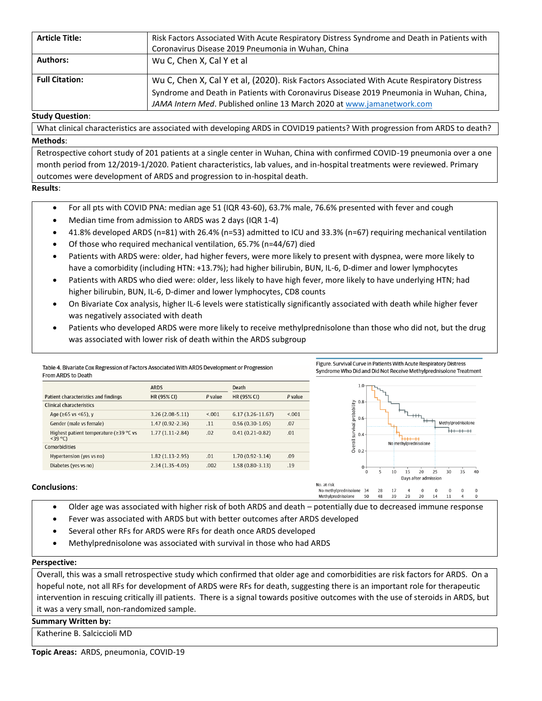| <b>Article Title:</b> | Risk Factors Associated With Acute Respiratory Distress Syndrome and Death in Patients with<br>Coronavirus Disease 2019 Pneumonia in Wuhan, China                                                                                                               |
|-----------------------|-----------------------------------------------------------------------------------------------------------------------------------------------------------------------------------------------------------------------------------------------------------------|
| <b>Authors:</b>       | Wu C, Chen X, Cal Y et al                                                                                                                                                                                                                                       |
| <b>Full Citation:</b> | Wu C, Chen X, Cal Y et al, (2020). Risk Factors Associated With Acute Respiratory Distress<br>Syndrome and Death in Patients with Coronavirus Disease 2019 Pneumonia in Wuhan, China,<br>JAMA Intern Med. Published online 13 March 2020 at www.jamanetwork.com |

## **Study Question**:

What clinical characteristics are associated with developing ARDS in COVID19 patients? With progression from ARDS to death? **Methods**:

Retrospective cohort study of 201 patients at a single center in Wuhan, China with confirmed COVID-19 pneumonia over a one month period from 12/2019-1/2020. Patient characteristics, lab values, and in-hospital treatments were reviewed. Primary outcomes were development of ARDS and progression to in-hospital death.

## **Results**:

- For all pts with COVID PNA: median age 51 (IQR 43-60), 63.7% male, 76.6% presented with fever and cough
- Median time from admission to ARDS was 2 days (IQR 1-4)
- 41.8% developed ARDS (n=81) with 26.4% (n=53) admitted to ICU and 33.3% (n=67) requiring mechanical ventilation
- Of those who required mechanical ventilation, 65.7% (n=44/67) died
- Patients with ARDS were: older, had higher fevers, were more likely to present with dyspnea, were more likely to have a comorbidity (including HTN: +13.7%); had higher bilirubin, BUN, IL-6, D-dimer and lower lymphocytes
- Patients with ARDS who died were: older, less likely to have high fever, more likely to have underlying HTN; had higher bilirubin, BUN, IL-6, D-dimer and lower lymphocytes, CD8 counts
- On Bivariate Cox analysis, higher IL-6 levels were statistically significantly associated with death while higher fever was negatively associated with death
- Patients who developed ARDS were more likely to receive methylprednisolone than those who did not, but the drug was associated with lower risk of death within the ARDS subgroup



## • Older age was associated with higher risk of both ARDS and death – potentially due to decreased immune response

- Fever was associated with ARDS but with better outcomes after ARDS developed
- Several other RFs for ARDS were RFs for death once ARDS developed
- Methylprednisolone was associated with survival in those who had ARDS

#### **Perspective:**

Overall, this was a small retrospective study which confirmed that older age and comorbidities are risk factors for ARDS. On a hopeful note, not all RFs for development of ARDS were RFs for death, suggesting there is an important role for therapeutic intervention in rescuing critically ill patients. There is a signal towards positive outcomes with the use of steroids in ARDS, but it was a very small, non-randomized sample.

#### **Summary Written by:**

Katherine B. Salciccioli MD

**Topic Areas:** ARDS, pneumonia, COVID-19